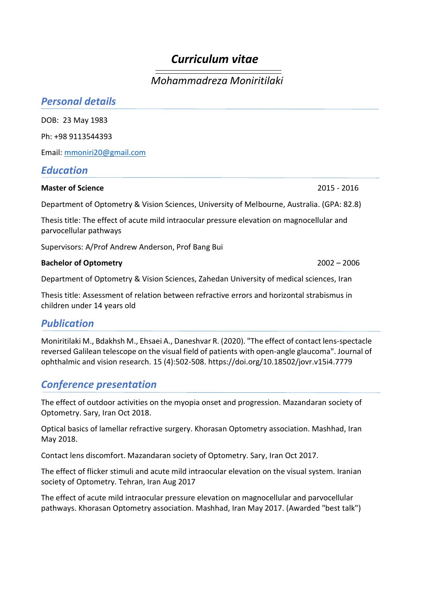# *Curriculum vitae*

## *Mohammadreza Moniritilaki*

| <b>Personal details</b>                                                                                              |               |
|----------------------------------------------------------------------------------------------------------------------|---------------|
| DOB: 23 May 1983                                                                                                     |               |
| Ph: +98 9113544393                                                                                                   |               |
| Email: mmoniri20@gmail.com                                                                                           |               |
| <b>Education</b>                                                                                                     |               |
| <b>Master of Science</b>                                                                                             | 2015 - 2016   |
| Department of Optometry & Vision Sciences, University of Melbourne, Australia. (GPA: 82.8)                           |               |
| Thesis title: The effect of acute mild intraocular pressure elevation on magnocellular and<br>parvocellular pathways |               |
| Supervisors: A/Prof Andrew Anderson, Prof Bang Bui                                                                   |               |
| <b>Bachelor of Optometry</b>                                                                                         | $2002 - 2006$ |

Department of Optometry & Vision Sciences, Zahedan University of medical sciences, Iran

Thesis title: Assessment of relation between refractive errors and horizontal strabismus in children under 14 years old

### *Publication*

Moniritilaki M., Bdakhsh M., Ehsaei A., Daneshvar R. (2020). "The effect of contact lens-spectacle reversed Galilean telescope on the visual field of patients with open-angle glaucoma". Journal of ophthalmic and vision research. 15 (4):502-508. https://doi.org/10.18502/jovr.v15i4.7779

### *Conference presentation*

The effect of outdoor activities on the myopia onset and progression. Mazandaran society of Optometry. Sary, Iran Oct 2018.

Optical basics of lamellar refractive surgery. Khorasan Optometry association. Mashhad, Iran May 2018.

Contact lens discomfort. Mazandaran society of Optometry. Sary, Iran Oct 2017.

The effect of flicker stimuli and acute mild intraocular elevation on the visual system. Iranian society of Optometry. Tehran, Iran Aug 2017

The effect of acute mild intraocular pressure elevation on magnocellular and parvocellular pathways. Khorasan Optometry association. Mashhad, Iran May 2017. (Awarded "best talk")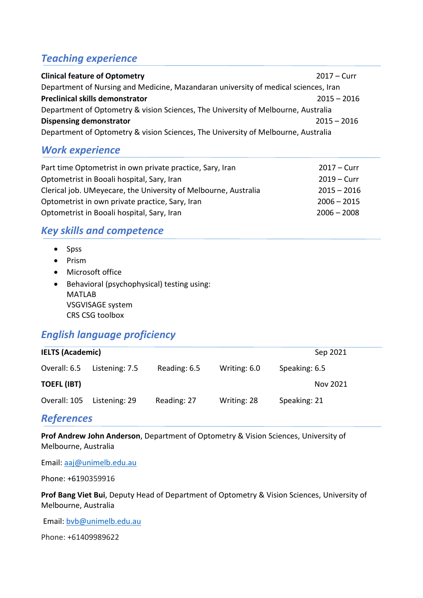### *Teaching experience*

| <b>Clinical feature of Optometry</b>                                                | $2017 - Curr$ |  |  |  |
|-------------------------------------------------------------------------------------|---------------|--|--|--|
| Department of Nursing and Medicine, Mazandaran university of medical sciences, Iran |               |  |  |  |
| <b>Preclinical skills demonstrator</b>                                              | $2015 - 2016$ |  |  |  |
| Department of Optometry & vision Sciences, The University of Melbourne, Australia   |               |  |  |  |
| <b>Dispensing demonstrator</b>                                                      | $2015 - 2016$ |  |  |  |
| Department of Optometry & vision Sciences, The University of Melbourne, Australia   |               |  |  |  |

### *Work experience*

| Part time Optometrist in own private practice, Sary, Iran       | $2017 - Curr$ |
|-----------------------------------------------------------------|---------------|
| Optometrist in Booali hospital, Sary, Iran                      | $2019 - Curr$ |
| Clerical job. UMeyecare, the University of Melbourne, Australia | $2015 - 2016$ |
| Optometrist in own private practice, Sary, Iran                 | $2006 - 2015$ |
| Optometrist in Booali hospital, Sary, Iran                      | $2006 - 2008$ |

### *Key skills and competence*

- Spss
- Prism
- Microsoft office
- Behavioral (psychophysical) testing using: MATLAB VSGVISAGE system CRS CSG toolbox

### *English language proficiency*

| <b>IELTS (Academic)</b> | Sep 2021       |              |              |               |  |
|-------------------------|----------------|--------------|--------------|---------------|--|
| Overall: 6.5            | Listening: 7.5 | Reading: 6.5 | Writing: 6.0 | Speaking: 6.5 |  |
| <b>TOEFL (IBT)</b>      |                |              |              | Nov 2021      |  |
| Overall: 105            | Listening: 29  | Reading: 27  | Writing: 28  | Speaking: 21  |  |

#### *References*

**Prof Andrew John Anderson**, Department of Optometry & Vision Sciences, University of Melbourne, Australia

Email: [aaj@unimelb.edu.au](mailto:aaj@unimelb.edu.au)

Phone: +6190359916

**Prof Bang Viet Bui**, Deputy Head of Department of Optometry & Vision Sciences, University of Melbourne, Australia

Email: [bvb@unimelb.edu.au](mailto:bvb@unimelb.edu.au)

Phone: +61409989622